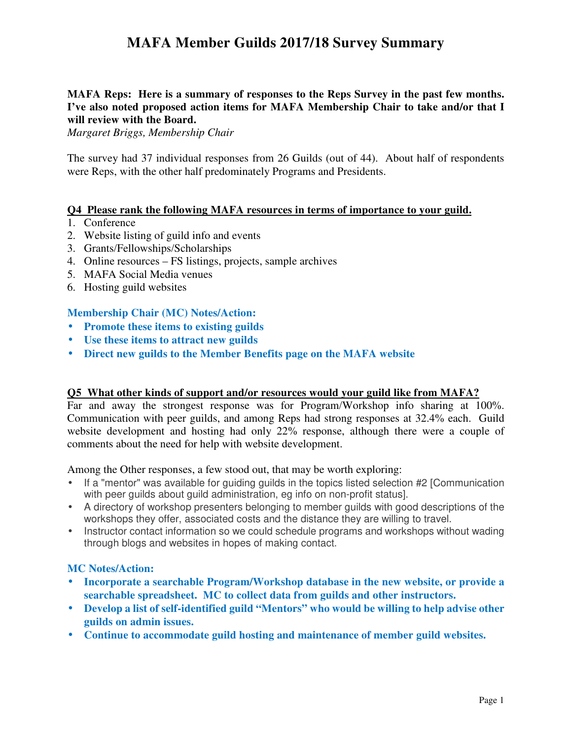# **MAFA Member Guilds 2017/18 Survey Summary**

# **MAFA Reps: Here is a summary of responses to the Reps Survey in the past few months. I've also noted proposed action items for MAFA Membership Chair to take and/or that I will review with the Board.**

*Margaret Briggs, Membership Chair* 

The survey had 37 individual responses from 26 Guilds (out of 44). About half of respondents were Reps, with the other half predominately Programs and Presidents.

## **Q4 Please rank the following MAFA resources in terms of importance to your guild.**

- 1. Conference
- 2. Website listing of guild info and events
- 3. Grants/Fellowships/Scholarships
- 4. Online resources FS listings, projects, sample archives
- 5. MAFA Social Media venues
- 6. Hosting guild websites

## **Membership Chair (MC) Notes/Action:**

- **Promote these items to existing guilds**
- **Use these items to attract new guilds**
- **Direct new guilds to the Member Benefits page on the MAFA website**

### **Q5 What other kinds of support and/or resources would your guild like from MAFA?**

Far and away the strongest response was for Program/Workshop info sharing at 100%. Communication with peer guilds, and among Reps had strong responses at 32.4% each. Guild website development and hosting had only 22% response, although there were a couple of comments about the need for help with website development.

Among the Other responses, a few stood out, that may be worth exploring:

- If a "mentor" was available for guiding guilds in the topics listed selection #2 [Communication with peer guilds about guild administration, eg info on non-profit status].
- A directory of workshop presenters belonging to member guilds with good descriptions of the workshops they offer, associated costs and the distance they are willing to travel.
- Instructor contact information so we could schedule programs and workshops without wading through blogs and websites in hopes of making contact.

### **MC Notes/Action:**

- **Incorporate a searchable Program/Workshop database in the new website, or provide a searchable spreadsheet. MC to collect data from guilds and other instructors.**
- **Develop a list of self-identified guild "Mentors" who would be willing to help advise other guilds on admin issues.**
- **Continue to accommodate guild hosting and maintenance of member guild websites.**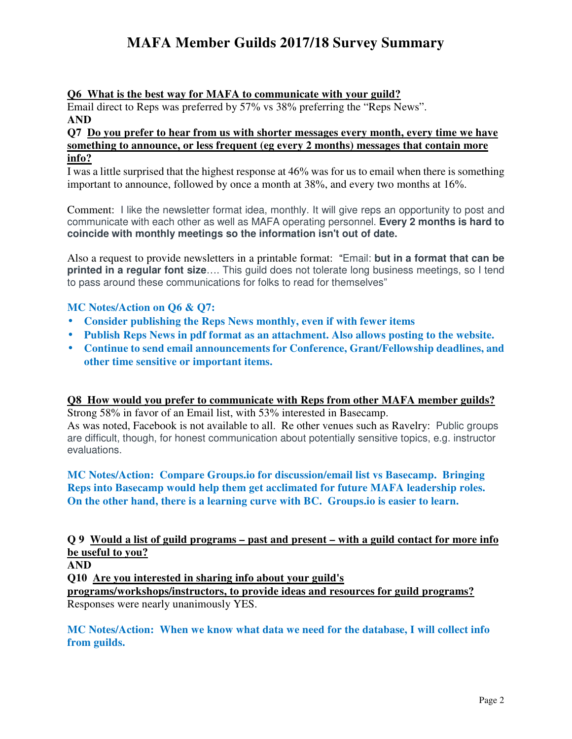# **MAFA Member Guilds 2017/18 Survey Summary**

# **Q6 What is the best way for MAFA to communicate with your guild?**

Email direct to Reps was preferred by 57% vs 38% preferring the "Reps News". **AND** 

## **Q7 Do you prefer to hear from us with shorter messages every month, every time we have something to announce, or less frequent (eg every 2 months) messages that contain more info?**

I was a little surprised that the highest response at 46% was for us to email when there is something important to announce, followed by once a month at 38%, and every two months at 16%.

Comment: I like the newsletter format idea, monthly. It will give reps an opportunity to post and communicate with each other as well as MAFA operating personnel. **Every 2 months is hard to coincide with monthly meetings so the information isn't out of date.**

Also a request to provide newsletters in a printable format: "Email: **but in a format that can be printed in a regular font size**…. This guild does not tolerate long business meetings, so I tend to pass around these communications for folks to read for themselves"

# **MC Notes/Action on Q6 & Q7:**

- **Consider publishing the Reps News monthly, even if with fewer items**
- **Publish Reps News in pdf format as an attachment. Also allows posting to the website.**
- **Continue to send email announcements for Conference, Grant/Fellowship deadlines, and other time sensitive or important items.**

## **Q8 How would you prefer to communicate with Reps from other MAFA member guilds?**

Strong 58% in favor of an Email list, with 53% interested in Basecamp. As was noted, Facebook is not available to all. Re other venues such as Ravelry: Public groups are difficult, though, for honest communication about potentially sensitive topics, e.g. instructor evaluations.

# **MC Notes/Action: Compare Groups.io for discussion/email list vs Basecamp. Bringing Reps into Basecamp would help them get acclimated for future MAFA leadership roles. On the other hand, there is a learning curve with BC. Groups.io is easier to learn.**

# **Q 9 Would a list of guild programs – past and present – with a guild contact for more info be useful to you?**

**AND** 

**Q10 Are you interested in sharing info about your guild's** 

**programs/workshops/instructors, to provide ideas and resources for guild programs?**  Responses were nearly unanimously YES.

**MC Notes/Action: When we know what data we need for the database, I will collect info from guilds.**